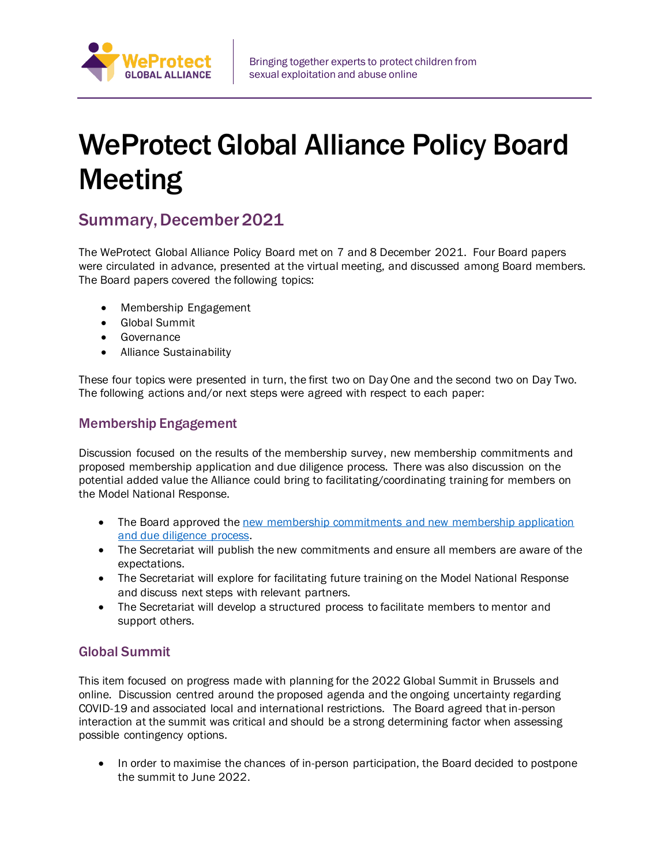

# WeProtect Global Alliance Policy Board Meeting

## Summary, December 2021

The WeProtect Global Alliance Policy Board met on 7 and 8 December 2021. Four Board papers were circulated in advance, presented at the virtual meeting, and discussed among Board members. The Board papers covered the following topics:

- Membership Engagement
- Global Summit
- Governance
- Alliance Sustainability

These four topics were presented in turn, the first two on Day One and the second two on Day Two. The following actions and/or next steps were agreed with respect to each paper:

### Membership Engagement

Discussion focused on the results of the membership survey, new membership commitments and proposed membership application and due diligence process. There was also discussion on the potential added value the Alliance could bring to facilitating/coordinating training for members on the Model National Response.

- The Board approved the new membership commitments and new membership application [and due diligence process.](https://www.weprotect.org/membership-information/)
- The Secretariat will publish the new commitments and ensure all members are aware of the expectations.
- The Secretariat will explore for facilitating future training on the Model National Response and discuss next steps with relevant partners.
- The Secretariat will develop a structured process to facilitate members to mentor and support others.

### Global Summit

This item focused on progress made with planning for the 2022 Global Summit in Brussels and online. Discussion centred around the proposed agenda and the ongoing uncertainty regarding COVID-19 and associated local and international restrictions. The Board agreed that in-person interaction at the summit was critical and should be a strong determining factor when assessing possible contingency options.

• In order to maximise the chances of in-person participation, the Board decided to postpone the summit to June 2022.